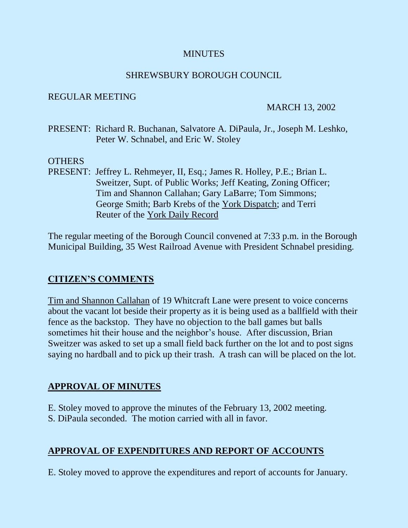# **MINUTES**

# SHREWSBURY BOROUGH COUNCIL

#### REGULAR MEETING

#### MARCH 13, 2002

PRESENT: Richard R. Buchanan, Salvatore A. DiPaula, Jr., Joseph M. Leshko, Peter W. Schnabel, and Eric W. Stoley

#### OTHERS

PRESENT: Jeffrey L. Rehmeyer, II, Esq.; James R. Holley, P.E.; Brian L. Sweitzer, Supt. of Public Works; Jeff Keating, Zoning Officer; Tim and Shannon Callahan; Gary LaBarre; Tom Simmons; George Smith; Barb Krebs of the York Dispatch; and Terri Reuter of the York Daily Record

The regular meeting of the Borough Council convened at 7:33 p.m. in the Borough Municipal Building, 35 West Railroad Avenue with President Schnabel presiding.

# **CITIZEN'S COMMENTS**

Tim and Shannon Callahan of 19 Whitcraft Lane were present to voice concerns about the vacant lot beside their property as it is being used as a ballfield with their fence as the backstop. They have no objection to the ball games but balls sometimes hit their house and the neighbor's house. After discussion, Brian Sweitzer was asked to set up a small field back further on the lot and to post signs saying no hardball and to pick up their trash. A trash can will be placed on the lot.

# **APPROVAL OF MINUTES**

E. Stoley moved to approve the minutes of the February 13, 2002 meeting.

S. DiPaula seconded. The motion carried with all in favor.

# **APPROVAL OF EXPENDITURES AND REPORT OF ACCOUNTS**

E. Stoley moved to approve the expenditures and report of accounts for January.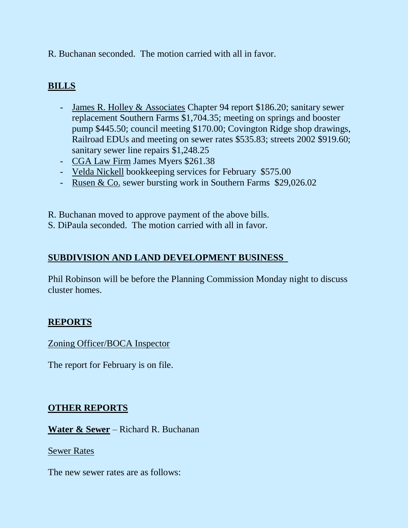R. Buchanan seconded. The motion carried with all in favor.

# **BILLS**

- James R. Holley & Associates Chapter 94 report \$186.20; sanitary sewer replacement Southern Farms \$1,704.35; meeting on springs and booster pump \$445.50; council meeting \$170.00; Covington Ridge shop drawings, Railroad EDUs and meeting on sewer rates \$535.83; streets 2002 \$919.60; sanitary sewer line repairs \$1,248.25
- CGA Law Firm James Myers \$261.38
- Velda Nickell bookkeeping services for February \$575.00
- Rusen & Co. sewer bursting work in Southern Farms \$29,026.02

R. Buchanan moved to approve payment of the above bills.

S. DiPaula seconded. The motion carried with all in favor.

# **SUBDIVISION AND LAND DEVELOPMENT BUSINESS**

Phil Robinson will be before the Planning Commission Monday night to discuss cluster homes.

# **REPORTS**

Zoning Officer/BOCA Inspector

The report for February is on file.

# **OTHER REPORTS**

**Water & Sewer** – Richard R. Buchanan

Sewer Rates

The new sewer rates are as follows: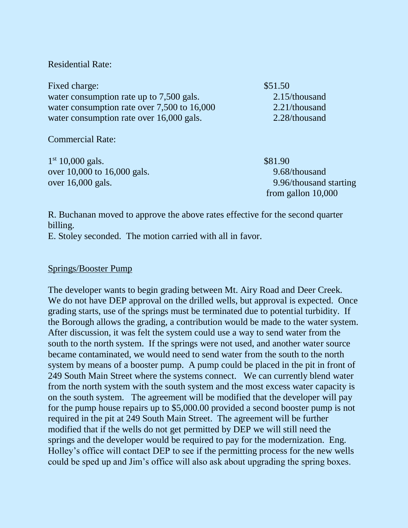Residential Rate:

Fixed charge:  $$51.50$ water consumption rate up to 7,500 gals. 2.15/thousand water consumption rate over 7,500 to 16,000 2.21/thousand water consumption rate over 16,000 gals. 2.28/thousand

Commercial Rate:

1<sup>st</sup> 10,000 gals. \$81.90 over 10,000 to 16,000 gals. 9.68/thousand over 16,000 gals. 9.96/thousand starting

from gallon 10,000

R. Buchanan moved to approve the above rates effective for the second quarter billing.

E. Stoley seconded. The motion carried with all in favor.

#### Springs/Booster Pump

The developer wants to begin grading between Mt. Airy Road and Deer Creek. We do not have DEP approval on the drilled wells, but approval is expected. Once grading starts, use of the springs must be terminated due to potential turbidity. If the Borough allows the grading, a contribution would be made to the water system. After discussion, it was felt the system could use a way to send water from the south to the north system. If the springs were not used, and another water source became contaminated, we would need to send water from the south to the north system by means of a booster pump. A pump could be placed in the pit in front of 249 South Main Street where the systems connect. We can currently blend water from the north system with the south system and the most excess water capacity is on the south system. The agreement will be modified that the developer will pay for the pump house repairs up to \$5,000.00 provided a second booster pump is not required in the pit at 249 South Main Street. The agreement will be further modified that if the wells do not get permitted by DEP we will still need the springs and the developer would be required to pay for the modernization. Eng. Holley's office will contact DEP to see if the permitting process for the new wells could be sped up and Jim's office will also ask about upgrading the spring boxes.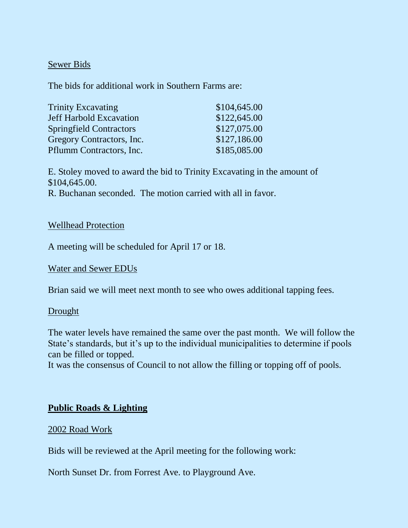#### Sewer Bids

The bids for additional work in Southern Farms are:

| <b>Trinity Excavating</b>      | \$104,645.00 |
|--------------------------------|--------------|
| <b>Jeff Harbold Excavation</b> | \$122,645.00 |
| <b>Springfield Contractors</b> | \$127,075.00 |
| Gregory Contractors, Inc.      | \$127,186.00 |
| Pflumm Contractors, Inc.       | \$185,085.00 |

E. Stoley moved to award the bid to Trinity Excavating in the amount of \$104,645.00. R. Buchanan seconded. The motion carried with all in favor.

#### Wellhead Protection

A meeting will be scheduled for April 17 or 18.

# Water and Sewer EDUs

Brian said we will meet next month to see who owes additional tapping fees.

# **Drought**

The water levels have remained the same over the past month. We will follow the State's standards, but it's up to the individual municipalities to determine if pools can be filled or topped.

It was the consensus of Council to not allow the filling or topping off of pools.

# **Public Roads & Lighting**

# 2002 Road Work

Bids will be reviewed at the April meeting for the following work:

North Sunset Dr. from Forrest Ave. to Playground Ave.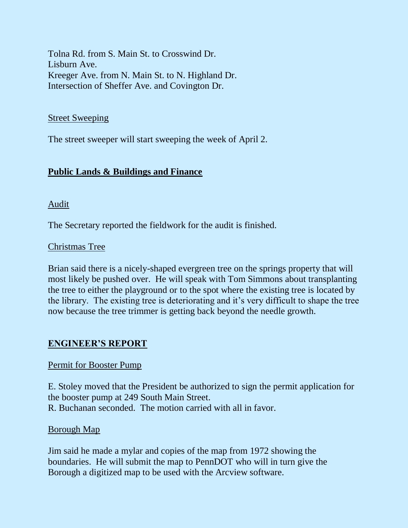Tolna Rd. from S. Main St. to Crosswind Dr. Lisburn Ave. Kreeger Ave. from N. Main St. to N. Highland Dr. Intersection of Sheffer Ave. and Covington Dr.

#### Street Sweeping

The street sweeper will start sweeping the week of April 2.

# **Public Lands & Buildings and Finance**

Audit

The Secretary reported the fieldwork for the audit is finished.

# Christmas Tree

Brian said there is a nicely-shaped evergreen tree on the springs property that will most likely be pushed over. He will speak with Tom Simmons about transplanting the tree to either the playground or to the spot where the existing tree is located by the library. The existing tree is deteriorating and it's very difficult to shape the tree now because the tree trimmer is getting back beyond the needle growth.

# **ENGINEER'S REPORT**

# Permit for Booster Pump

E. Stoley moved that the President be authorized to sign the permit application for the booster pump at 249 South Main Street. R. Buchanan seconded. The motion carried with all in favor.

# Borough Map

Jim said he made a mylar and copies of the map from 1972 showing the boundaries. He will submit the map to PennDOT who will in turn give the Borough a digitized map to be used with the Arcview software.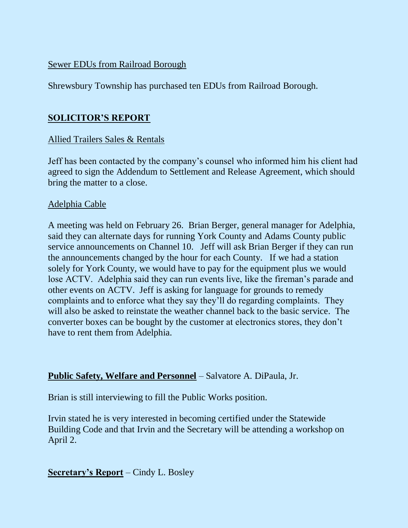# Sewer EDUs from Railroad Borough

Shrewsbury Township has purchased ten EDUs from Railroad Borough.

# **SOLICITOR'S REPORT**

# Allied Trailers Sales & Rentals

Jeff has been contacted by the company's counsel who informed him his client had agreed to sign the Addendum to Settlement and Release Agreement, which should bring the matter to a close.

# Adelphia Cable

A meeting was held on February 26. Brian Berger, general manager for Adelphia, said they can alternate days for running York County and Adams County public service announcements on Channel 10. Jeff will ask Brian Berger if they can run the announcements changed by the hour for each County. If we had a station solely for York County, we would have to pay for the equipment plus we would lose ACTV. Adelphia said they can run events live, like the fireman's parade and other events on ACTV. Jeff is asking for language for grounds to remedy complaints and to enforce what they say they'll do regarding complaints. They will also be asked to reinstate the weather channel back to the basic service. The converter boxes can be bought by the customer at electronics stores, they don't have to rent them from Adelphia.

# **Public Safety, Welfare and Personnel** – Salvatore A. DiPaula, Jr.

Brian is still interviewing to fill the Public Works position.

Irvin stated he is very interested in becoming certified under the Statewide Building Code and that Irvin and the Secretary will be attending a workshop on April 2.

**Secretary's Report** – Cindy L. Bosley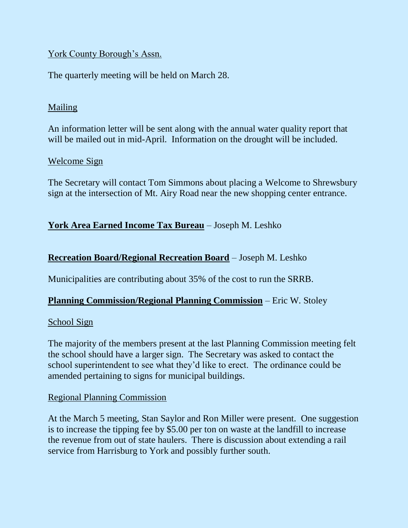# York County Borough's Assn.

The quarterly meeting will be held on March 28.

# Mailing

An information letter will be sent along with the annual water quality report that will be mailed out in mid-April. Information on the drought will be included.

# Welcome Sign

The Secretary will contact Tom Simmons about placing a Welcome to Shrewsbury sign at the intersection of Mt. Airy Road near the new shopping center entrance.

# **York Area Earned Income Tax Bureau** – Joseph M. Leshko

# **Recreation Board/Regional Recreation Board** – Joseph M. Leshko

Municipalities are contributing about 35% of the cost to run the SRRB.

# **Planning Commission/Regional Planning Commission** – Eric W. Stoley

#### School Sign

The majority of the members present at the last Planning Commission meeting felt the school should have a larger sign. The Secretary was asked to contact the school superintendent to see what they'd like to erect. The ordinance could be amended pertaining to signs for municipal buildings.

# Regional Planning Commission

At the March 5 meeting, Stan Saylor and Ron Miller were present. One suggestion is to increase the tipping fee by \$5.00 per ton on waste at the landfill to increase the revenue from out of state haulers. There is discussion about extending a rail service from Harrisburg to York and possibly further south.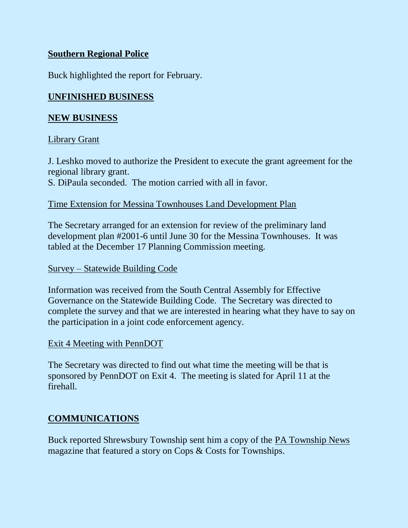# **Southern Regional Police**

Buck highlighted the report for February.

# **UNFINISHED BUSINESS**

#### **NEW BUSINESS**

#### Library Grant

J. Leshko moved to authorize the President to execute the grant agreement for the regional library grant.

S. DiPaula seconded. The motion carried with all in favor.

#### Time Extension for Messina Townhouses Land Development Plan

The Secretary arranged for an extension for review of the preliminary land development plan #2001-6 until June 30 for the Messina Townhouses. It was tabled at the December 17 Planning Commission meeting.

#### Survey – Statewide Building Code

Information was received from the South Central Assembly for Effective Governance on the Statewide Building Code. The Secretary was directed to complete the survey and that we are interested in hearing what they have to say on the participation in a joint code enforcement agency.

# Exit 4 Meeting with PennDOT

The Secretary was directed to find out what time the meeting will be that is sponsored by PennDOT on Exit 4. The meeting is slated for April 11 at the firehall.

# **COMMUNICATIONS**

Buck reported Shrewsbury Township sent him a copy of the PA Township News magazine that featured a story on Cops & Costs for Townships.